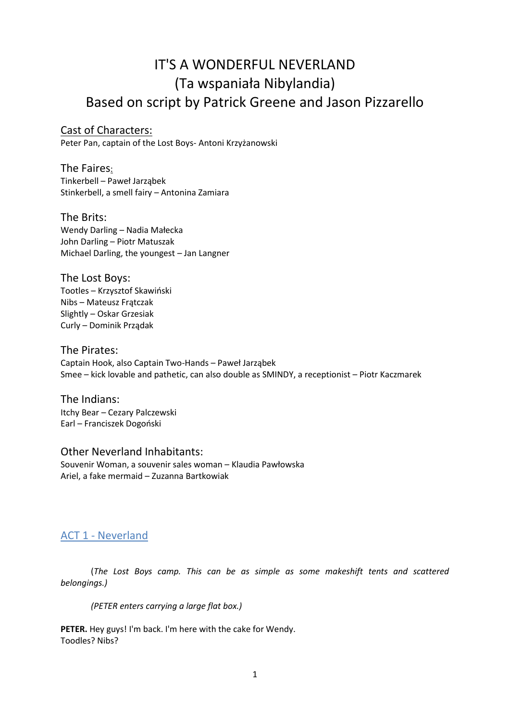# IT'S A WONDERFUL NEVERLAND (Ta wspaniała Nibylandia) Based on script by Patrick Greene and Jason Pizzarello

# Cast of Characters:

Peter Pan, captain of the Lost Boys- Antoni Krzyżanowski

The Faires: Tinkerbell – Paweł Jarząbek Stinkerbell, a smell fairy – Antonina Zamiara

# The Brits:

Wendy Darling – Nadia Małecka John Darling – Piotr Matuszak Michael Darling, the youngest – Jan Langner

The Lost Boys: Tootles – Krzysztof Skawiński

Nibs – Mateusz Frątczak Slightly – Oskar Grzesiak Curly – Dominik Prządak

## The Pirates:

Captain Hook, also Captain Two-Hands – Paweł Jarząbek Smee – kick lovable and pathetic, can also double as SMINDY, a receptionist – Piotr Kaczmarek

The Indians: Itchy Bear – Cezary Palczewski Earl – Franciszek Dogoński

# Other Neverland Inhabitants:

Souvenir Woman, a souvenir sales woman – Klaudia Pawłowska Ariel, a fake mermaid – Zuzanna Bartkowiak

# ACT 1 - Neverland

(*The Lost Boys camp. This can be as simple as some makeshift tents and scattered belongings.)* 

*(PETER enters carrying a large flat box.)* 

**PETER.** Hey guys! I'm back. I'm here with the cake for Wendy. Toodles? Nibs?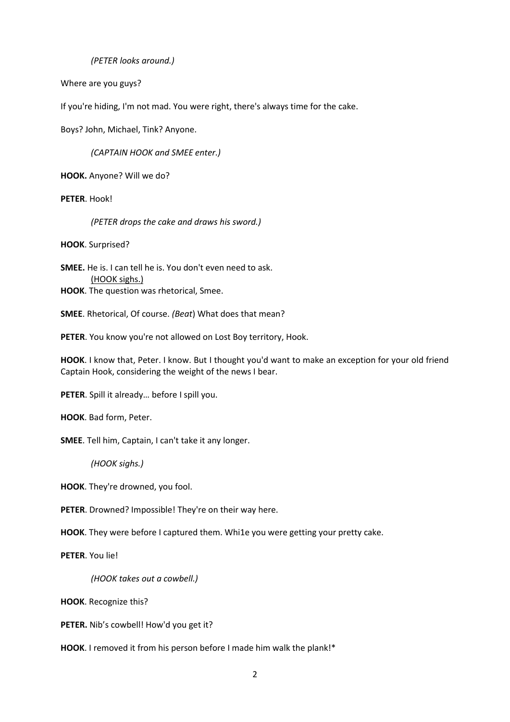*(PETER looks around.)* 

Where are you guys?

If you're hiding, I'm not mad. You were right, there's always time for the cake.

Boys? John, Michael, Tink? Anyone.

*(CAPTAIN HOOK and SMEE enter.)* 

**HOOK.** Anyone? Will we do?

**PETER**. Hook!

*(PETER drops the cake and draws his sword.)* 

**HOOK**. Surprised?

**SMEE.** He is. I can tell he is. You don't even need to ask. (HOOK sighs.) **HOOK**. The question was rhetorical, Smee.

**SMEE**. Rhetorical, Of course. *(Beat*) What does that mean?

**PETER**. You know you're not allowed on Lost Boy territory, Hook.

**HOOK**. I know that, Peter. I know. But I thought you'd want to make an exception for your old friend Captain Hook, considering the weight of the news I bear.

**PETER**. Spill it already… before I spill you.

**HOOK**. Bad form, Peter.

**SMEE**. Tell him, Captain, I can't take it any longer.

*(HOOK sighs.)* 

**HOOK**. They're drowned, you fool.

**PETER**. Drowned? Impossible! They're on their way here.

**HOOK**. They were before I captured them. Whi1e you were getting your pretty cake.

**PETER**. You lie!

*(HOOK takes out a cowbell.)* 

**HOOK**. Recognize this?

**PETER.** Nib's cowbell! How'd you get it?

**HOOK**. I removed it from his person before I made him walk the plank!\*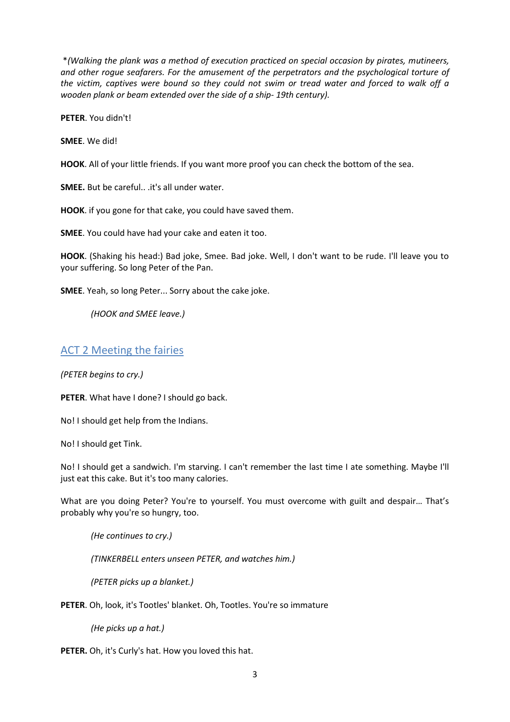\**(Walking the plank was a method of execution practiced on special occasion by pirates, mutineers, and other rogue seafarers. For the amusement of the perpetrators and the psychological torture of the victim, captives were bound so they could not swim or tread water and forced to walk off a wooden plank or beam extended over the side of a ship- 19th century).*

**PETER**. You didn't!

**SMEE**. We did!

**HOOK**. All of your little friends. If you want more proof you can check the bottom of the sea.

**SMEE.** But be careful.. .it's all under water.

**HOOK**. if you gone for that cake, you could have saved them.

**SMEE**. You could have had your cake and eaten it too.

**HOOK**. (Shaking his head:) Bad joke, Smee. Bad joke. Well, I don't want to be rude. I'll leave you to your suffering. So long Peter of the Pan.

**SMEE**. Yeah, so long Peter... Sorry about the cake joke.

*(HOOK and SMEE leave.)* 

# ACT 2 Meeting the fairies

*(PETER begins to cry.)* 

**PETER**. What have I done? I should go back.

No! I should get help from the Indians.

No! I should get Tink.

No! I should get a sandwich. I'm starving. I can't remember the last time I ate something. Maybe I'll just eat this cake. But it's too many calories.

What are you doing Peter? You're to yourself. You must overcome with guilt and despair… That's probably why you're so hungry, too.

*(He continues to cry.)* 

*(TINKERBELL enters unseen PETER, and watches him.)* 

*(PETER picks up a blanket.)* 

**PETER**. Oh, look, it's Tootles' blanket. Oh, Tootles. You're so immature

*(He picks up a hat.)* 

**PETER.** Oh, it's Curly's hat. How you loved this hat.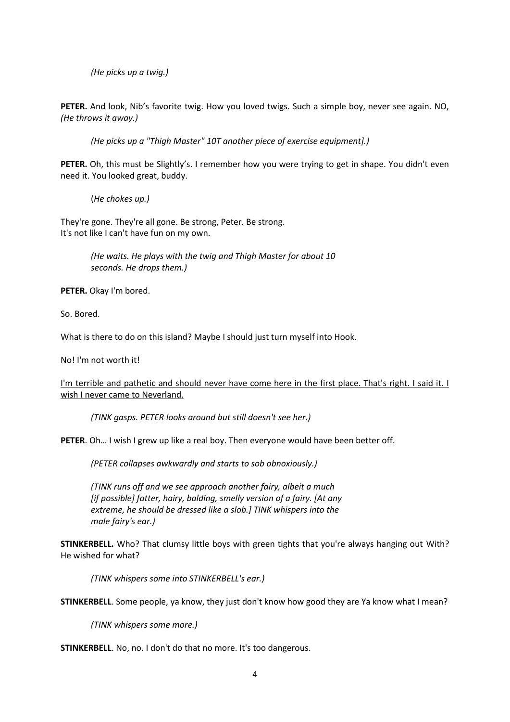*(He picks up a twig.)* 

**PETER.** And look, Nib's favorite twig. How you loved twigs. Such a simple boy, never see again. NO, *(He throws it away.)* 

*(He picks up a "Thigh Master" 10T another piece of exercise equipment].)* 

PETER. Oh, this must be Slightly's. I remember how you were trying to get in shape. You didn't even need it. You looked great, buddy.

(*He chokes up.)* 

They're gone. They're all gone. Be strong, Peter. Be strong. It's not like I can't have fun on my own.

> *(He waits. He plays with the twig and Thigh Master for about 10 seconds. He drops them.)*

**PETER.** Okay I'm bored.

So. Bored.

What is there to do on this island? Maybe I should just turn myself into Hook.

No! I'm not worth it!

I'm terrible and pathetic and should never have come here in the first place. That's right. I said it. I wish I never came to Neverland.

*(TINK gasps. PETER looks around but still doesn't see her.)* 

**PETER**. Oh… I wish I grew up like a real boy. Then everyone would have been better off.

*(PETER collapses awkwardly and starts to sob obnoxiously.)* 

*(TINK runs off and we see approach another fairy, albeit a much [if possible] fatter, hairy, balding, smelly version of a fairy. [At any extreme, he should be dressed like a slob.] TINK whispers into the male fairy's ear.)* 

**STINKERBELL.** Who? That clumsy little boys with green tights that you're always hanging out With? He wished for what?

*(TINK whispers some into STINKERBELL's ear.)* 

**STINKERBELL**. Some people, ya know, they just don't know how good they are Ya know what I mean?

*(TINK whispers some more.)* 

**STINKERBELL**. No, no. I don't do that no more. It's too dangerous.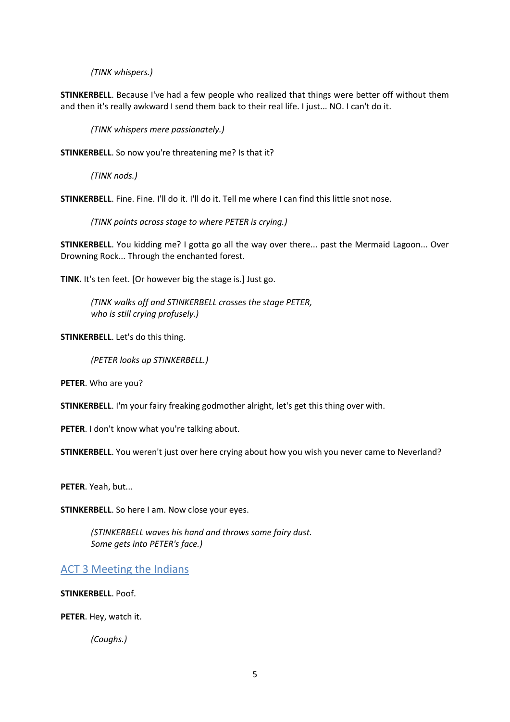*(TINK whispers.)* 

**STINKERBELL**. Because I've had a few people who realized that things were better off without them and then it's really awkward I send them back to their real life. I just... NO. I can't do it.

*(TINK whispers mere passionately.)* 

**STINKERBELL**. So now you're threatening me? Is that it?

*(TINK nods.)* 

**STINKERBELL.** Fine. Fine. I'll do it. I'll do it. Tell me where I can find this little snot nose.

*(TINK points across stage to where PETER is crying.)* 

**STINKERBELL**. You kidding me? I gotta go all the way over there... past the Mermaid Lagoon... Over Drowning Rock... Through the enchanted forest.

**TINK.** It's ten feet. [Or however big the stage is.] Just go.

*(TINK walks off and STINKERBELL crosses the stage PETER, who is still crying profusely.)* 

**STINKERBELL**. Let's do this thing.

*(PETER looks up STINKERBELL.)* 

**PETER**. Who are you?

**STINKERBELL**. I'm your fairy freaking godmother alright, let's get this thing over with.

**PETER**. I don't know what you're talking about.

**STINKERBELL**. You weren't just over here crying about how you wish you never came to Neverland?

**PETER**. Yeah, but...

**STINKERBELL**. So here I am. Now close your eyes.

*(STINKERBELL waves his hand and throws some fairy dust. Some gets into PETER's face.)* 

# ACT 3 Meeting the Indians

**STINKERBELL**. Poof.

**PETER**. Hey, watch it.

*(Coughs.)*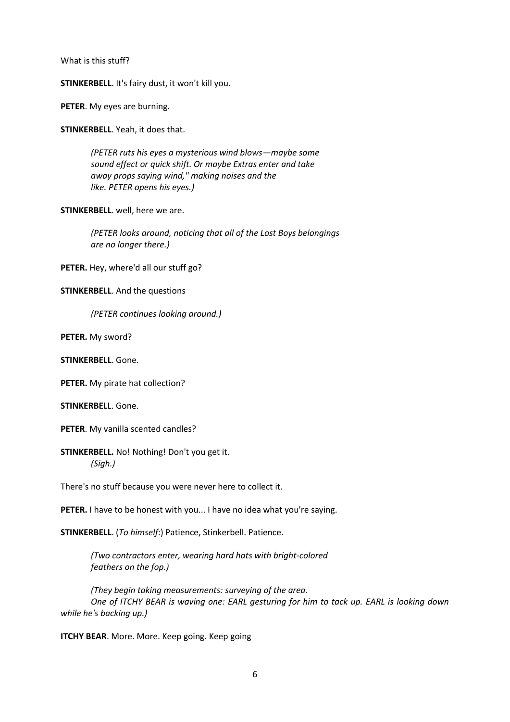What is this stuff?

**STINKERBELL**. It's fairy dust, it won't kill you.

**PETER**. My eyes are burning.

**STINKERBELL**. Yeah, it does that.

*(PETER ruts his eyes a mysterious wind blows—maybe some sound effect or quick shift. Or maybe Extras enter and take away props saying wind," making noises and the like. PETER opens his eyes.)* 

**STINKERBELL**. well, here we are.

*(PETER looks around, noticing that all of the Lost Boys belongings are no longer there.)* 

**PETER.** Hey, where'd all our stuff go?

#### **STINKERBELL**. And the questions

*(PETER continues looking around.)* 

**PETER.** My sword?

**STINKERBELL**. Gone.

**PETER.** My pirate hat collection?

**STINKERBEL**L. Gone.

**PETER**. My vanilla scented candles?

**STINKERBELL.** No! Nothing! Don't you get it. *(Sigh.)* 

There's no stuff because you were never here to collect it.

**PETER.** I have to be honest with you... I have no idea what you're saying.

**STINKERBELL**. (*To himself*:) Patience, Stinkerbell. Patience.

*(Two contractors enter, wearing hard hats with bright-colored feathers on the fop.)* 

*(They begin taking measurements: surveying of the area. One of ITCHY BEAR is waving one: EARL gesturing for him to tack up. EARL is looking down while he's backing up.)* 

**ITCHY BEAR**. More. More. Keep going. Keep going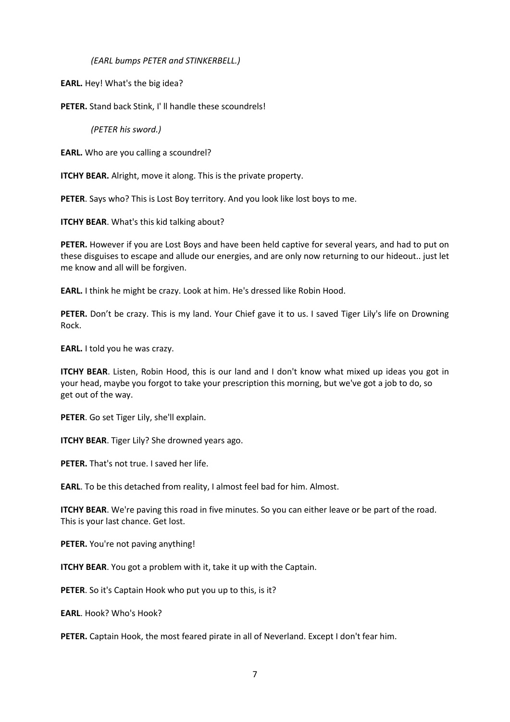*(EARL bumps PETER and STINKERBELL.)* 

**EARL.** Hey! What's the big idea?

**PETER.** Stand back Stink, I' ll handle these scoundrels!

*(PETER his sword.)* 

**EARL.** Who are you calling a scoundrel?

**ITCHY BEAR.** Alright, move it along. This is the private property.

**PETER**. Says who? This is Lost Boy territory. And you look like lost boys to me.

**ITCHY BEAR.** What's this kid talking about?

**PETER.** However if you are Lost Boys and have been held captive for several years, and had to put on these disguises to escape and allude our energies, and are only now returning to our hideout.. just let me know and all will be forgiven.

**EARL.** I think he might be crazy. Look at him. He's dressed like Robin Hood.

PETER. Don't be crazy. This is my land. Your Chief gave it to us. I saved Tiger Lily's life on Drowning Rock.

**EARL.** I told you he was crazy.

**ITCHY BEAR**. Listen, Robin Hood, this is our land and I don't know what mixed up ideas you got in your head, maybe you forgot to take your prescription this morning, but we've got a job to do, so get out of the way.

**PETER**. Go set Tiger Lily, she'll explain.

**ITCHY BEAR**. Tiger Lily? She drowned years ago.

**PETER.** That's not true. I saved her life.

**EARL**. To be this detached from reality, I almost feel bad for him. Almost.

**ITCHY BEAR**. We're paving this road in five minutes. So you can either leave or be part of the road. This is your last chance. Get lost.

PETER. You're not paving anything!

**ITCHY BEAR**. You got a problem with it, take it up with the Captain.

**PETER**. So it's Captain Hook who put you up to this, is it?

**EARL**. Hook? Who's Hook?

**PETER.** Captain Hook, the most feared pirate in all of Neverland. Except I don't fear him.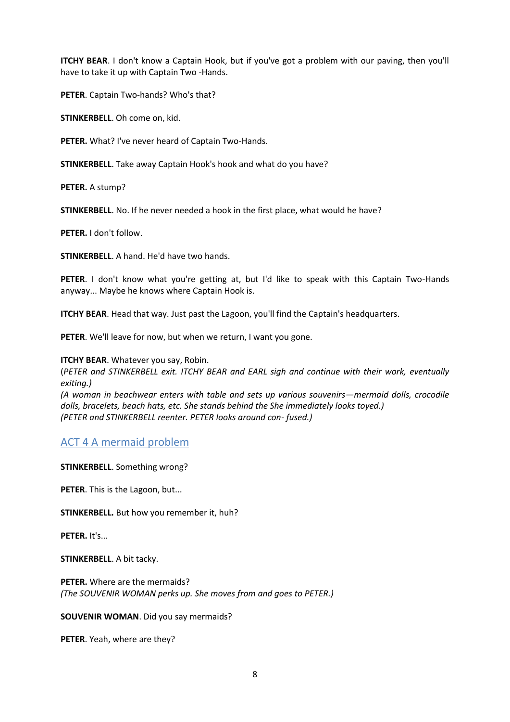**ITCHY BEAR**. I don't know a Captain Hook, but if you've got a problem with our paving, then you'll have to take it up with Captain Two -Hands.

**PETER**. Captain Two-hands? Who's that?

**STINKERBELL**. Oh come on, kid.

**PETER.** What? I've never heard of Captain Two-Hands.

**STINKERBELL**. Take away Captain Hook's hook and what do you have?

**PETER.** A stump?

**STINKERBELL**. No. If he never needed a hook in the first place, what would he have?

**PETER.** I don't follow.

**STINKERBELL**. A hand. He'd have two hands.

**PETER**. I don't know what you're getting at, but I'd like to speak with this Captain Two-Hands anyway... Maybe he knows where Captain Hook is.

**ITCHY BEAR**. Head that way. Just past the Lagoon, you'll find the Captain's headquarters.

**PETER**. We'll leave for now, but when we return, I want you gone.

**ITCHY BEAR.** Whatever you say, Robin.

(*PETER and STINKERBELL exit. ITCHY BEAR and EARL sigh and continue with their work, eventually exiting.)* 

*(A woman in beachwear enters with table and sets up various souvenirs—mermaid dolls, crocodile dolls, bracelets, beach hats, etc. She stands behind the She immediately looks toyed.) (PETER and STINKERBELL reenter. PETER looks around con- fused.)* 

# ACT 4 A mermaid problem

**STINKERBELL**. Something wrong?

**PETER**. This is the Lagoon, but...

**STINKERBELL.** But how you remember it, huh?

**PETER.** It's...

**STINKERBELL**. A bit tacky.

**PETER.** Where are the mermaids? *(The SOUVENIR WOMAN perks up. She moves from and goes to PETER.)* 

**SOUVENIR WOMAN**. Did you say mermaids?

**PETER**. Yeah, where are they?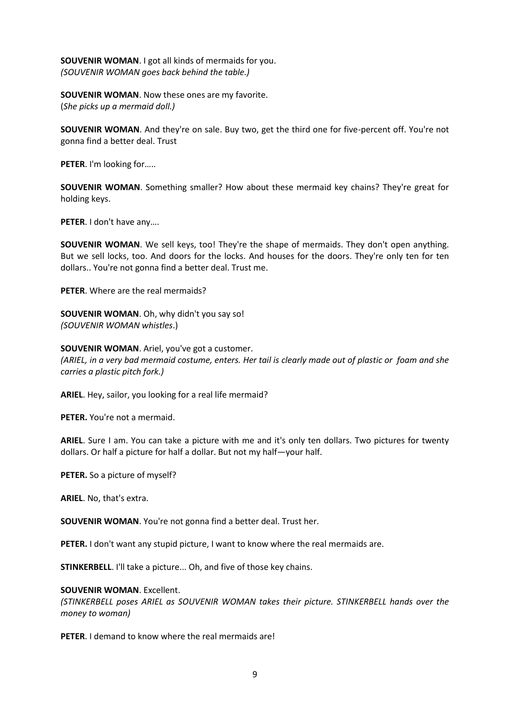**SOUVENIR WOMAN**. I got all kinds of mermaids for you. *(SOUVENIR WOMAN goes back behind the table.)* 

**SOUVENIR WOMAN**. Now these ones are my favorite. (*She picks up a mermaid doll.)* 

**SOUVENIR WOMAN**. And they're on sale. Buy two, get the third one for five-percent off. You're not gonna find a better deal. Trust

**PETER**. I'm looking for…..

**SOUVENIR WOMAN**. Something smaller? How about these mermaid key chains? They're great for holding keys.

**PETER**. I don't have any….

**SOUVENIR WOMAN**. We sell keys, too! They're the shape of mermaids. They don't open anything. But we sell locks, too. And doors for the locks. And houses for the doors. They're only ten for ten dollars.. You're not gonna find a better deal. Trust me.

**PETER**. Where are the real mermaids?

**SOUVENIR WOMAN**. Oh, why didn't you say so! *(SOUVENIR WOMAN whistles*.)

**SOUVENIR WOMAN**. Ariel, you've got a customer. *(ARIEL, in a very bad mermaid costume, enters. Her tail is clearly made out of plastic or foam and she carries a plastic pitch fork.)* 

**ARIEL**. Hey, sailor, you looking for a real life mermaid?

**PETER.** You're not a mermaid.

**ARIEL**. Sure I am. You can take a picture with me and it's only ten dollars. Two pictures for twenty dollars. Or half a picture for half a dollar. But not my half—your half.

**PETER.** So a picture of myself?

**ARIEL**. No, that's extra.

**SOUVENIR WOMAN**. You're not gonna find a better deal. Trust her.

**PETER.** I don't want any stupid picture, I want to know where the real mermaids are.

**STINKERBELL**. I'll take a picture... Oh, and five of those key chains.

#### **SOUVENIR WOMAN**. Excellent.

*(STINKERBELL poses ARIEL as SOUVENIR WOMAN takes their picture. STINKERBELL hands over the money to woman)*

**PETER**. I demand to know where the real mermaids are!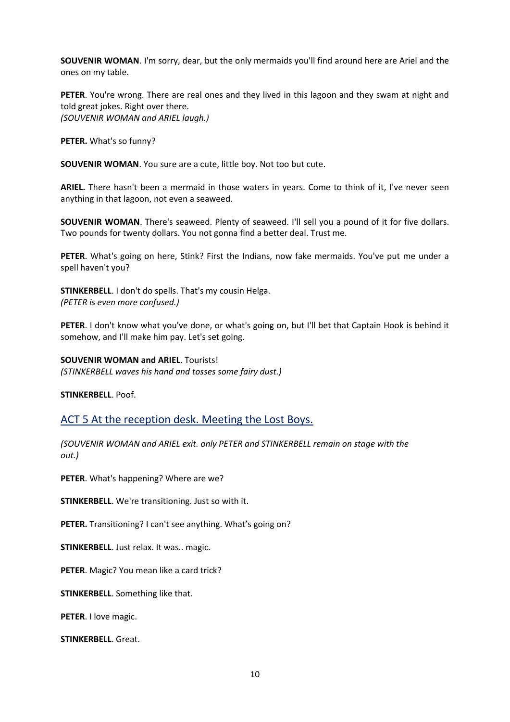**SOUVENIR WOMAN**. I'm sorry, dear, but the only mermaids you'll find around here are Ariel and the ones on my table.

**PETER**. You're wrong. There are real ones and they lived in this lagoon and they swam at night and told great jokes. Right over there. *(SOUVENIR WOMAN and ARIEL laugh.)* 

**PETER.** What's so funny?

**SOUVENIR WOMAN**. You sure are a cute, little boy. Not too but cute.

**ARIEL.** There hasn't been a mermaid in those waters in years. Come to think of it, I've never seen anything in that lagoon, not even a seaweed.

**SOUVENIR WOMAN**. There's seaweed. Plenty of seaweed. I'll sell you a pound of it for five dollars. Two pounds for twenty dollars. You not gonna find a better deal. Trust me.

**PETER**. What's going on here, Stink? First the Indians, now fake mermaids. You've put me under a spell haven't you?

**STINKERBELL**. I don't do spells. That's my cousin Helga. *(PETER is even more confused.)* 

**PETER**. I don't know what you've done, or what's going on, but I'll bet that Captain Hook is behind it somehow, and I'll make him pay. Let's set going.

**SOUVENIR WOMAN and ARIEL**. Tourists! *(STINKERBELL waves his hand and tosses some fairy dust.)* 

**STINKERBELL**. Poof.

ACT 5 At the reception desk. Meeting the Lost Boys.

*(SOUVENIR WOMAN and ARIEL exit. only PETER and STINKERBELL remain on stage with the out.)* 

**PETER**. What's happening? Where are we?

**STINKERBELL**. We're transitioning. Just so with it.

**PETER.** Transitioning? I can't see anything. What's going on?

**STINKERBELL**. Just relax. It was.. magic.

**PETER**. Magic? You mean like a card trick?

**STINKERBELL**. Something like that.

**PETER**. I love magic.

**STINKERBELL**. Great.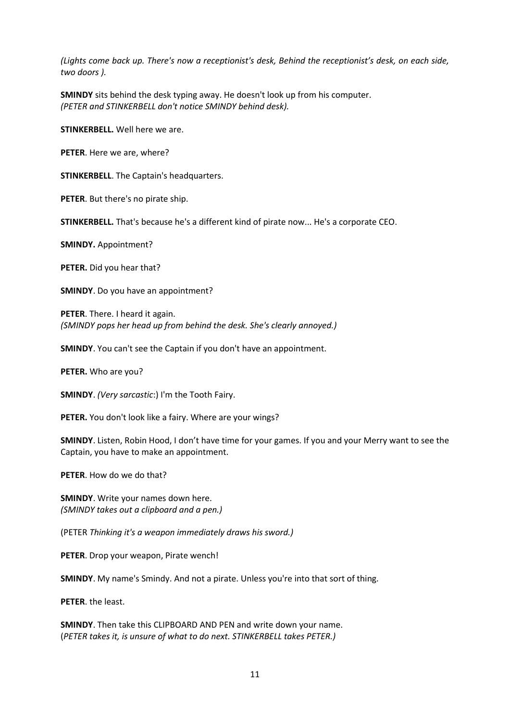*(Lights come back up. There's now a receptionist's desk, Behind the receptionist's desk, on each side, two doors ).*

**SMINDY** sits behind the desk typing away. He doesn't look up from his computer. *(PETER and STINKERBELL don't notice SMINDY behind desk).*

**STINKERBELL.** Well here we are.

**PETER**. Here we are, where?

**STINKERBELL**. The Captain's headquarters.

**PETER**. But there's no pirate ship.

**STINKERBELL.** That's because he's a different kind of pirate now... He's a corporate CEO.

**SMINDY.** Appointment?

**PETER.** Did you hear that?

**SMINDY**. Do you have an appointment?

**PETER**. There. I heard it again. *(SMINDY pops her head up from behind the desk. She's clearly annoyed.)* 

**SMINDY**. You can't see the Captain if you don't have an appointment.

**PETER.** Who are you?

**SMINDY**. *(Very sarcastic*:) I'm the Tooth Fairy.

**PETER.** You don't look like a fairy. Where are your wings?

**SMINDY**. Listen, Robin Hood, I don't have time for your games. If you and your Merry want to see the Captain, you have to make an appointment.

**PETER**. How do we do that?

**SMINDY**. Write your names down here. *(SMINDY takes out a clipboard and a pen.)*

(PETER *Thinking it's a weapon immediately draws his sword.)*

**PETER**. Drop your weapon, Pirate wench!

**SMINDY**. My name's Smindy. And not a pirate. Unless you're into that sort of thing.

**PETER**. the least.

**SMINDY**. Then take this CLIPBOARD AND PEN and write down your name. (*PETER takes it, is unsure of what to do next. STINKERBELL takes PETER.)*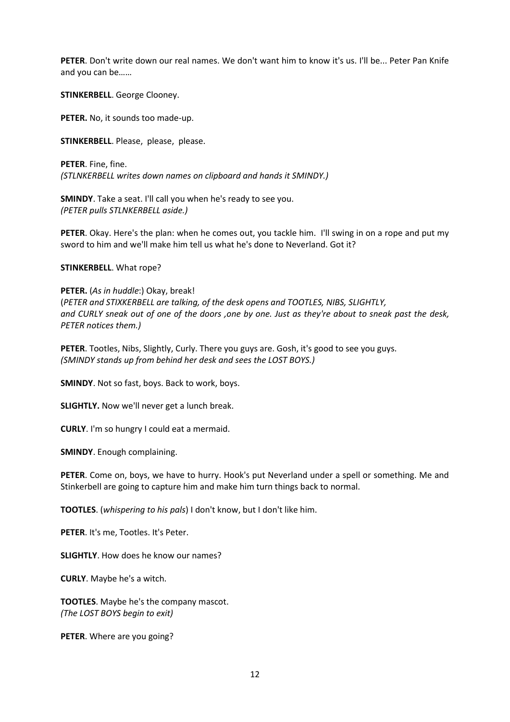**PETER**. Don't write down our real names. We don't want him to know it's us. I'll be... Peter Pan Knife and you can be……

**STINKERBELL**. George Clooney.

**PETER.** No, it sounds too made-up.

**STINKERBELL**. Please, please, please.

**PETER**. Fine, fine. *(STLNKERBELL writes down names on clipboard and hands it SMINDY.)* 

**SMINDY**. Take a seat. I'll call you when he's ready to see you. *(PETER pulls STLNKERBELL aside.)* 

**PETER**. Okay. Here's the plan: when he comes out, you tackle him. I'll swing in on a rope and put my sword to him and we'll make him tell us what he's done to Neverland. Got it?

#### **STINKERBELL**. What rope?

**PETER.** (*As in huddle*:) Okay, break! (*PETER and STIXKERBELL are talking, of the desk opens and TOOTLES, NIBS, SLIGHTLY, and CURLY sneak out of one of the doors ,one by one. Just as they're about to sneak past the desk, PETER notices them.)* 

**PETER**. Tootles, Nibs, Slightly, Curly. There you guys are. Gosh, it's good to see you guys. *(SMINDY stands up from behind her desk and sees the LOST BOYS.)* 

**SMINDY**. Not so fast, boys. Back to work, boys.

**SLIGHTLY.** Now we'll never get a lunch break.

**CURLY**. I'm so hungry I could eat a mermaid.

**SMINDY**. Enough complaining.

**PETER**. Come on, boys, we have to hurry. Hook's put Neverland under a spell or something. Me and Stinkerbell are going to capture him and make him turn things back to normal.

**TOOTLES**. (*whispering to his pals*) I don't know, but I don't like him.

**PETER**. It's me, Tootles. It's Peter.

**SLIGHTLY**. How does he know our names?

**CURLY**. Maybe he's a witch.

**TOOTLES**. Maybe he's the company mascot. *(The LOST BOYS begin to exit)*

**PETER**. Where are you going?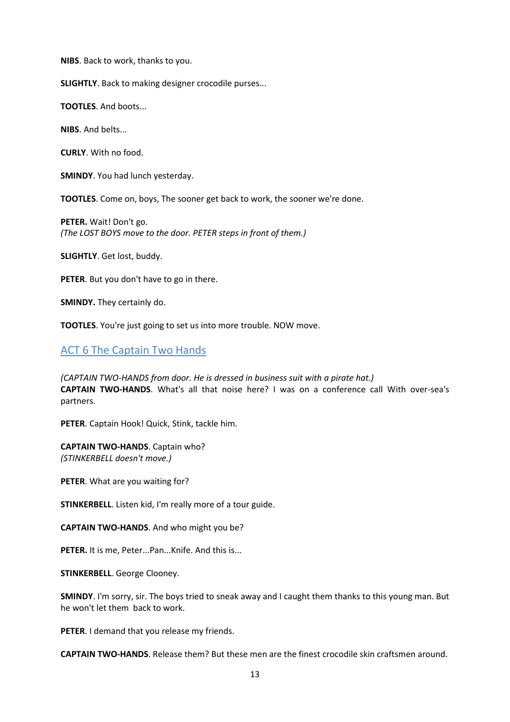**NIBS**. Back to work, thanks to you.

**SLIGHTLY**. Back to making designer crocodile purses...

**TOOTLES**. And boots...

**NIBS**. And belts...

**CURLY**. With no food.

**SMINDY**. You had lunch yesterday.

**TOOTLES**. Come on, boys, The sooner get back to work, the sooner we're done.

**PETER.** Wait! Don't go. *(The LOST BOYS move to the door. PETER steps in front of them.)* 

**SLIGHTLY**. Get lost, buddy.

**PETER**. But you don't have to go in there.

**SMINDY.** They certainly do.

**TOOTLES**. You're just going to set us into more trouble. NOW move.

## ACT 6 The Captain Two Hands

*(CAPTAIN TWO-HANDS from door. He is dressed in business suit with a pirate hat.)*  **CAPTAIN TWO-HANDS**. What's all that noise here? I was on a conference call With over-sea's partners.

**PETER**. Captain Hook! Quick, Stink, tackle him.

**CAPTAIN TWO-HANDS**. Captain who? *(STINKERBELL doesn't move.)* 

**PETER**. What are you waiting for?

**STINKERBELL**. Listen kid, I'm really more of a tour guide.

**CAPTAIN TWO-HANDS**. And who might you be?

**PETER.** It is me, Peter...Pan...Knife. And this is...

**STINKERBELL**. George Clooney.

**SMINDY**. I'm sorry, sir. The boys tried to sneak away and I caught them thanks to this young man. But he won't let them back to work.

**PETER**. I demand that you release my friends.

**CAPTAIN TWO-HANDS**. Release them? But these men are the finest crocodile skin craftsmen around.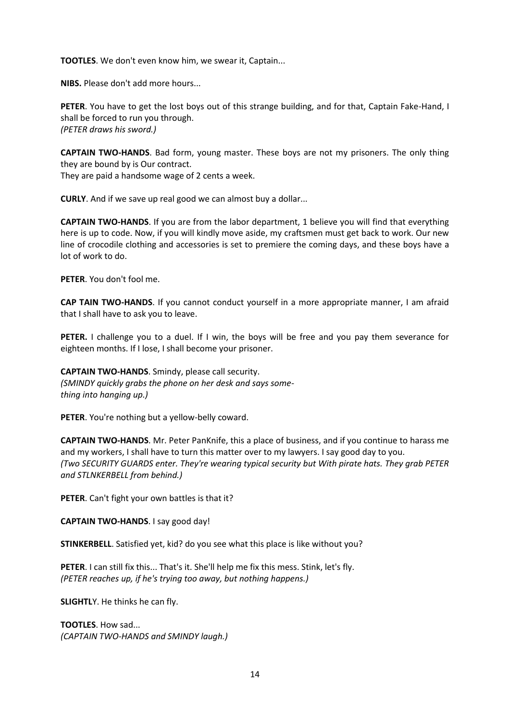**TOOTLES**. We don't even know him, we swear it, Captain...

**NIBS.** Please don't add more hours...

**PETER**. You have to get the lost boys out of this strange building, and for that, Captain Fake-Hand, I shall be forced to run you through. *(PETER draws his sword.)* 

**CAPTAIN TWO-HANDS**. Bad form, young master. These boys are not my prisoners. The only thing they are bound by is Our contract. They are paid a handsome wage of 2 cents a week.

**CURLY**. And if we save up real good we can almost buy a dollar...

**CAPTAIN TWO-HANDS**. If you are from the labor department, 1 believe you will find that everything here is up to code. Now, if you will kindly move aside, my craftsmen must get back to work. Our new line of crocodile clothing and accessories is set to premiere the coming days, and these boys have a lot of work to do.

**PETER**. You don't fool me.

**CAP TAIN TWO-HANDS**. If you cannot conduct yourself in a more appropriate manner, I am afraid that I shall have to ask you to leave.

**PETER.** I challenge you to a duel. If I win, the boys will be free and you pay them severance for eighteen months. If I lose, I shall become your prisoner.

**CAPTAIN TWO-HANDS**. Smindy, please call security. *(SMINDY quickly grabs the phone on her desk and says something into hanging up.)* 

**PETER**. You're nothing but a yellow-belly coward.

**CAPTAIN TWO-HANDS**. Mr. Peter PanKnife, this a place of business, and if you continue to harass me and my workers, I shall have to turn this matter over to my lawyers. I say good day to you. *(Two SECURITY GUARDS enter. They're wearing typical security but With pirate hats. They grab PETER and STLNKERBELL from behind.)* 

**PETER**. Can't fight your own battles is that it?

**CAPTAIN TWO-HANDS**. I say good day!

**STINKERBELL**. Satisfied yet, kid? do you see what this place is like without you?

PETER. I can still fix this... That's it. She'll help me fix this mess. Stink, let's fly. *(PETER reaches up, if he's trying too away, but nothing happens.)* 

**SLIGHTL**Y. He thinks he can fly.

**TOOTLES**. How sad... *(CAPTAIN TWO-HANDS and SMINDY laugh.)*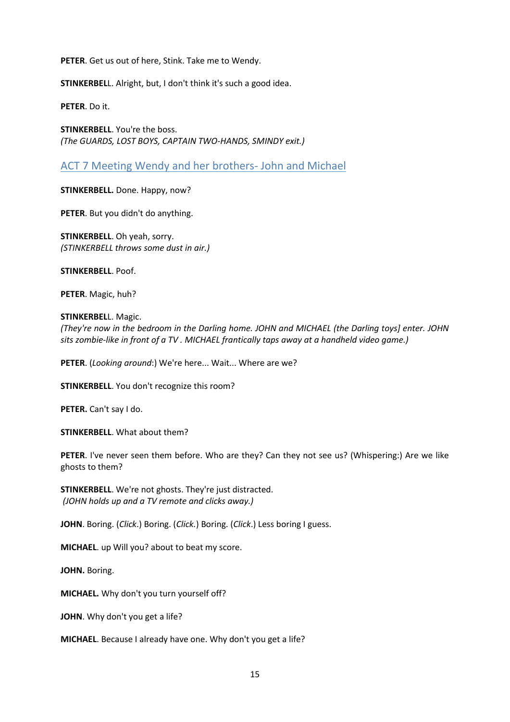**PETER**. Get us out of here, Stink. Take me to Wendy.

**STINKERBEL**L. Alright, but, I don't think it's such a good idea.

**PETER**. Do it.

**STINKERBELL**. You're the boss. *(The GUARDS, LOST BOYS, CAPTAIN TWO-HANDS, SMINDY exit.)*

## ACT 7 Meeting Wendy and her brothers- John and Michael

**STINKERBELL.** Done. Happy, now?

**PETER**. But you didn't do anything.

**STINKERBELL**. Oh yeah, sorry. *(STINKERBELL throws some dust in air.)* 

**STINKERBELL**. Poof.

**PETER**. Magic, huh?

**STINKERBEL**L. Magic.

*(They're now in the bedroom in the Darling home. JOHN and MICHAEL (the Darling toys] enter. JOHN sits zombie-like in front of a TV . MICHAEL frantically taps away at a handheld video game.)* 

**PETER**. (*Looking around*:) We're here... Wait... Where are we?

**STINKERBELL**. You don't recognize this room?

**PETER.** Can't say I do.

**STINKERBELL**. What about them?

**PETER**. I've never seen them before. Who are they? Can they not see us? (Whispering:) Are we like ghosts to them?

**STINKERBELL**. We're not ghosts. They're just distracted. *(JOHN holds up and a TV remote and clicks away.)* 

**JOHN**. Boring. (*Click*.) Boring. (*Click.*) Boring. (*Click*.) Less boring I guess.

**MICHAEL**. up Will you? about to beat my score.

**JOHN.** Boring.

**MICHAEL.** Why don't you turn yourself off?

**JOHN**. Why don't you get a life?

**MICHAEL**. Because I already have one. Why don't you get a life?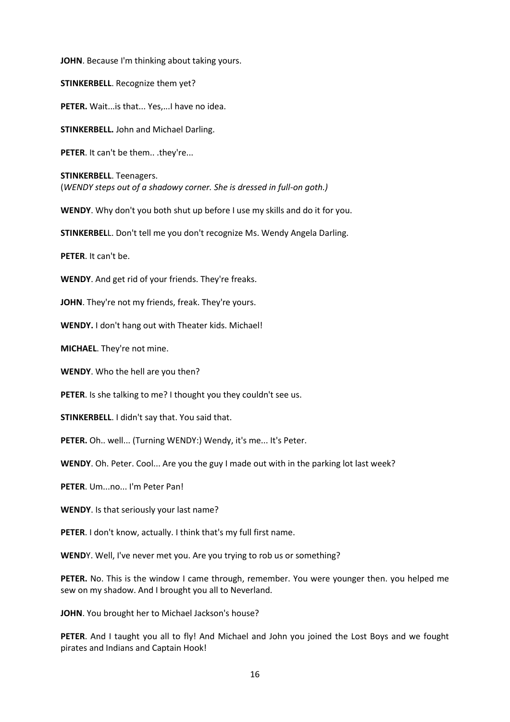**JOHN**. Because I'm thinking about taking yours.

**STINKERBELL**. Recognize them yet?

PETER. Wait...is that... Yes,...I have no idea.

**STINKERBELL.** John and Michael Darling.

**PETER**. It can't be them.. .they're...

**STINKERBELL**. Teenagers. (*WENDY steps out of a shadowy corner. She is dressed in full-on goth.)* 

**WENDY**. Why don't you both shut up before I use my skills and do it for you.

**STINKERBEL**L. Don't tell me you don't recognize Ms. Wendy Angela Darling.

**PETER**. It can't be.

**WENDY**. And get rid of your friends. They're freaks.

**JOHN**. They're not my friends, freak. They're yours.

**WENDY.** I don't hang out with Theater kids. Michael!

**MICHAEL**. They're not mine.

**WENDY**. Who the hell are you then?

**PETER**. Is she talking to me? I thought you they couldn't see us.

**STINKERBELL**. I didn't say that. You said that.

**PETER.** Oh.. well... (Turning WENDY:) Wendy, it's me... It's Peter.

**WENDY**. Oh. Peter. Cool... Are you the guy I made out with in the parking lot last week?

**PETER**. Um...no... I'm Peter Pan!

**WENDY**. Is that seriously your last name?

**PETER**. I don't know, actually. I think that's my full first name.

**WEND**Y. Well, I've never met you. Are you trying to rob us or something?

**PETER.** No. This is the window I came through, remember. You were younger then. you helped me sew on my shadow. And I brought you all to Neverland.

**JOHN**. You brought her to Michael Jackson's house?

**PETER**. And I taught you all to fly! And Michael and John you joined the Lost Boys and we fought pirates and Indians and Captain Hook!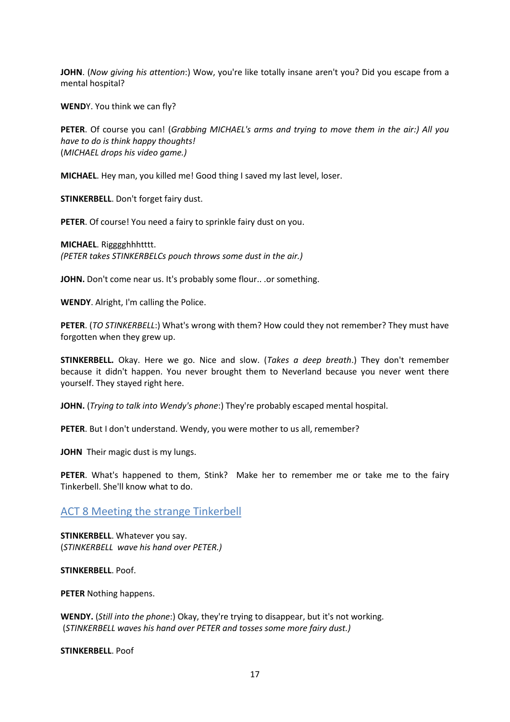**JOHN**. (*Now giving his attention*:) Wow, you're like totally insane aren't you? Did you escape from a mental hospital?

**WEND**Y. You think we can fly?

**PETER**. Of course you can! (*Grabbing MICHAEL's arms and trying to move them in the air:) All you have to do is think happy thoughts!*  (*MICHAEL drops his video game.)* 

**MICHAEL**. Hey man, you killed me! Good thing I saved my last level, loser.

**STINKERBELL**. Don't forget fairy dust.

**PETER**. Of course! You need a fairy to sprinkle fairy dust on you.

**MICHAEL**. Rigggghhhtttt. *(PETER takes STINKERBELCs pouch throws some dust in the air.)* 

JOHN. Don't come near us. It's probably some flour.. .or something.

**WENDY**. Alright, I'm calling the Police.

**PETER**. (*TO STINKERBELL*:) What's wrong with them? How could they not remember? They must have forgotten when they grew up.

**STINKERBELL.** Okay. Here we go. Nice and slow. (*Takes a deep breath*.) They don't remember because it didn't happen. You never brought them to Neverland because you never went there yourself. They stayed right here.

**JOHN.** (*Trying to talk into Wendy's phone*:) They're probably escaped mental hospital.

**PETER**. But I don't understand. Wendy, you were mother to us all, remember?

**JOHN** Their magic dust is my lungs.

**PETER**. What's happened to them, Stink? Make her to remember me or take me to the fairy Tinkerbell. She'll know what to do.

ACT 8 Meeting the strange Tinkerbell

**STINKERBELL**. Whatever you say. (*STINKERBELL wave his hand over PETER.)*

**STINKERBELL**. Poof.

**PETER** Nothing happens.

**WENDY.** (*Still into the phone*:) Okay, they're trying to disappear, but it's not working. (*STINKERBELL waves his hand over PETER and tosses some more fairy dust.)* 

**STINKERBELL**. Poof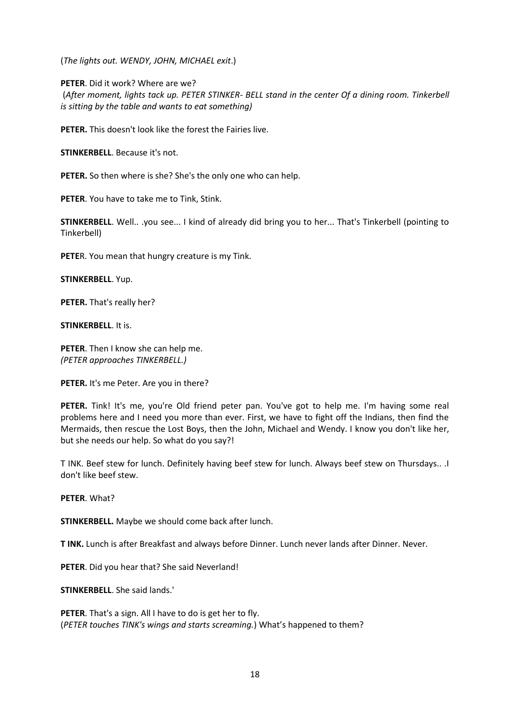(*The lights out. WENDY, JOHN, MICHAEL exit*.)

**PETER**. Did it work? Where are we?

(*After moment, lights tack up. PETER STINKER- BELL stand in the center Of a dining room. Tinkerbell is sitting by the table and wants to eat something)* 

**PETER.** This doesn't look like the forest the Fairies live.

**STINKERBELL**. Because it's not.

**PETER.** So then where is she? She's the only one who can help.

**PETER**. You have to take me to Tink, Stink.

**STINKERBELL**. Well.. .you see... I kind of already did bring you to her... That's Tinkerbell (pointing to Tinkerbell)

**PETE**R. You mean that hungry creature is my Tink.

**STINKERBELL**. Yup.

**PETER.** That's really her?

**STINKERBELL**. It is.

**PETER**. Then I know she can help me. *(PETER approaches TINKERBELL.)* 

**PETER.** It's me Peter. Are you in there?

**PETER.** Tink! It's me, you're Old friend peter pan. You've got to help me. I'm having some real problems here and I need you more than ever. First, we have to fight off the Indians, then find the Mermaids, then rescue the Lost Boys, then the John, Michael and Wendy. I know you don't like her, but she needs our help. So what do you say?!

T INK. Beef stew for lunch. Definitely having beef stew for lunch. Always beef stew on Thursdays.. .I don't like beef stew.

**PETER**. What?

**STINKERBELL.** Maybe we should come back after lunch.

**T INK.** Lunch is after Breakfast and always before Dinner. Lunch never lands after Dinner. Never.

**PETER**. Did you hear that? She said Neverland!

**STINKERBELL**. She said lands.'

**PETER**. That's a sign. All I have to do is get her to fly. (*PETER touches TINK's wings and starts screaming.*) What's happened to them?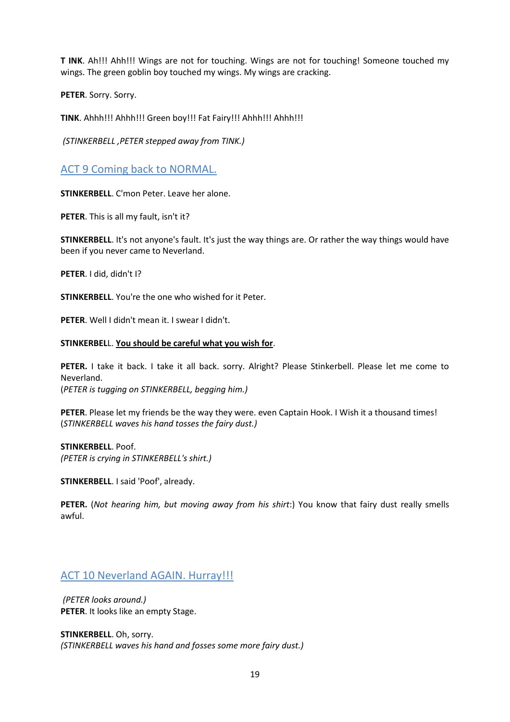**T INK**. Ah!!! Ahh!!! Wings are not for touching. Wings are not for touching! Someone touched my wings. The green goblin boy touched my wings. My wings are cracking.

**PETER**. Sorry. Sorry.

**TINK**. Ahhh!!! Ahhh!!! Green boy!!! Fat Fairy!!! Ahhh!!! Ahhh!!!

*(STINKERBELL ,PETER stepped away from TINK.)*

## ACT 9 Coming back to NORMAL.

**STINKERBELL**. C'mon Peter. Leave her alone.

**PETER**. This is all my fault, isn't it?

**STINKERBELL**. It's not anyone's fault. It's just the way things are. Or rather the way things would have been if you never came to Neverland.

**PETER**. I did, didn't I?

**STINKERBELL**. You're the one who wished for it Peter.

**PETER**. Well I didn't mean it. I swear I didn't.

#### **STINKERBEL**L. **You should be careful what you wish for**.

**PETER.** I take it back. I take it all back. sorry. Alright? Please Stinkerbell. Please let me come to Neverland. (*PETER is tugging on STINKERBELL, begging him.)* 

**PETER**. Please let my friends be the way they were. even Captain Hook. I Wish it a thousand times! (*STINKERBELL waves his hand tosses the fairy dust.)* 

**STINKERBELL**. Poof. *(PETER is crying in STINKERBELL's shirt.)* 

**STINKERBELL**. I said 'Poof', already.

**PETER.** (*Not hearing him, but moving away from his shirt*:) You know that fairy dust really smells awful.

## ACT 10 Neverland AGAIN. Hurray!!!

*(PETER looks around.)*  **PETER**. It looks like an empty Stage.

**STINKERBELL**. Oh, sorry. *(STINKERBELL waves his hand and fosses some more fairy dust.)*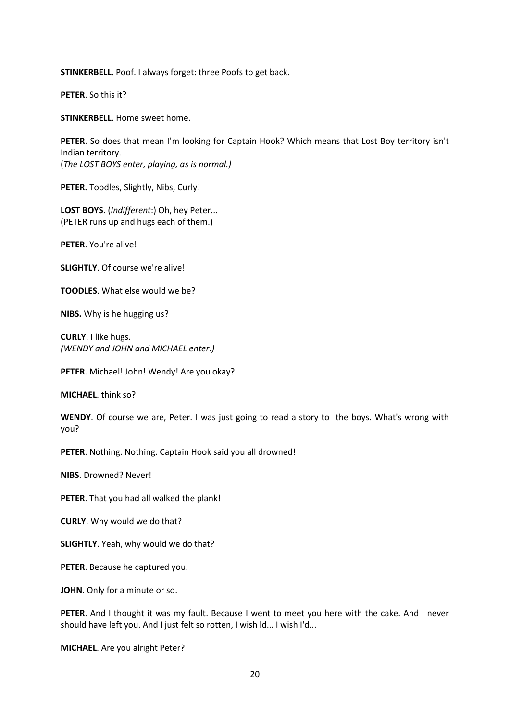**STINKERBELL**. Poof. I always forget: three Poofs to get back.

**PETER**. So this it?

**STINKERBELL**. Home sweet home.

**PETER**. So does that mean I'm looking for Captain Hook? Which means that Lost Boy territory isn't Indian territory. (*The LOST BOYS enter, playing, as is normal.)* 

**PETER.** Toodles, Slightly, Nibs, Curly!

**LOST BOYS**. (*Indifferent*:) Oh, hey Peter... (PETER runs up and hugs each of them.)

**PETER**. You're alive!

**SLIGHTLY**. Of course we're alive!

**TOODLES**. What else would we be?

**NIBS.** Why is he hugging us?

**CURLY**. I like hugs. *(WENDY and JOHN and MICHAEL enter.)* 

**PETER**. Michael! John! Wendy! Are you okay?

**MICHAEL**. think so?

**WENDY**. Of course we are, Peter. I was just going to read a story to the boys. What's wrong with you?

**PETER**. Nothing. Nothing. Captain Hook said you all drowned!

**NIBS**. Drowned? Never!

**PETER**. That you had all walked the plank!

**CURLY**. Why would we do that?

**SLIGHTLY**. Yeah, why would we do that?

**PETER**. Because he captured you.

**JOHN**. Only for a minute or so.

**PETER**. And I thought it was my fault. Because I went to meet you here with the cake. And I never should have left you. And I just felt so rotten, I wish ld... I wish I'd...

**MICHAEL**. Are you alright Peter?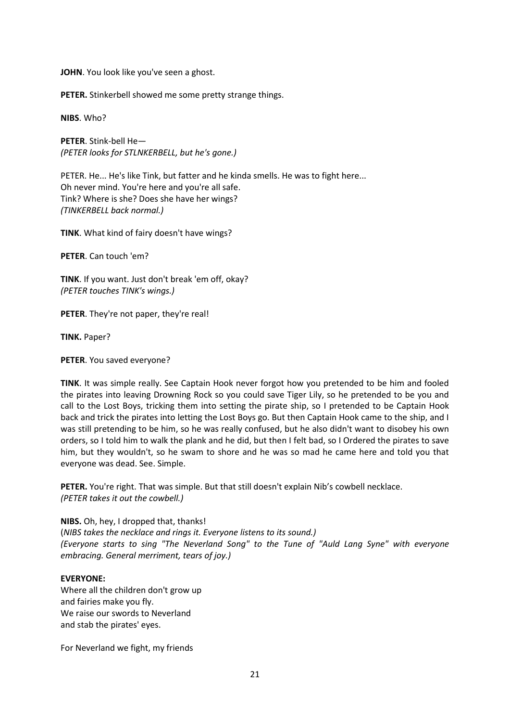**JOHN**. You look like you've seen a ghost.

**PETER.** Stinkerbell showed me some pretty strange things.

**NIBS**. Who?

**PETER**. Stink-bell He— *(PETER looks for STLNKERBELL, but he's gone.)* 

PETER. He... He's like Tink, but fatter and he kinda smells. He was to fight here... Oh never mind. You're here and you're all safe. Tink? Where is she? Does she have her wings? *(TINKERBELL back normal.)* 

**TINK**. What kind of fairy doesn't have wings?

**PETER**. Can touch 'em?

**TINK**. If you want. Just don't break 'em off, okay? *(PETER touches TINK's wings.)* 

**PETER**. They're not paper, they're real!

**TINK.** Paper?

**PETER**. You saved everyone?

**TINK**. It was simple really. See Captain Hook never forgot how you pretended to be him and fooled the pirates into leaving Drowning Rock so you could save Tiger Lily, so he pretended to be you and call to the Lost Boys, tricking them into setting the pirate ship, so I pretended to be Captain Hook back and trick the pirates into letting the Lost Boys go. But then Captain Hook came to the ship, and I was still pretending to be him, so he was really confused, but he also didn't want to disobey his own orders, so I told him to walk the plank and he did, but then I felt bad, so I Ordered the pirates to save him, but they wouldn't, so he swam to shore and he was so mad he came here and told you that everyone was dead. See. Simple.

**PETER.** You're right. That was simple. But that still doesn't explain Nib's cowbell necklace. *(PETER takes it out the cowbell.)* 

**NIBS.** Oh, hey, I dropped that, thanks!

(*NIBS takes the necklace and rings it. Everyone listens to its sound.) (Everyone starts to sing "The Neverland Song" to the Tune of "Auld Lang Syne" with everyone embracing. General merriment, tears of joy.)*

#### **EVERYONE:**

Where all the children don't grow up and fairies make you fly. We raise our swords to Neverland and stab the pirates' eyes.

For Neverland we fight, my friends